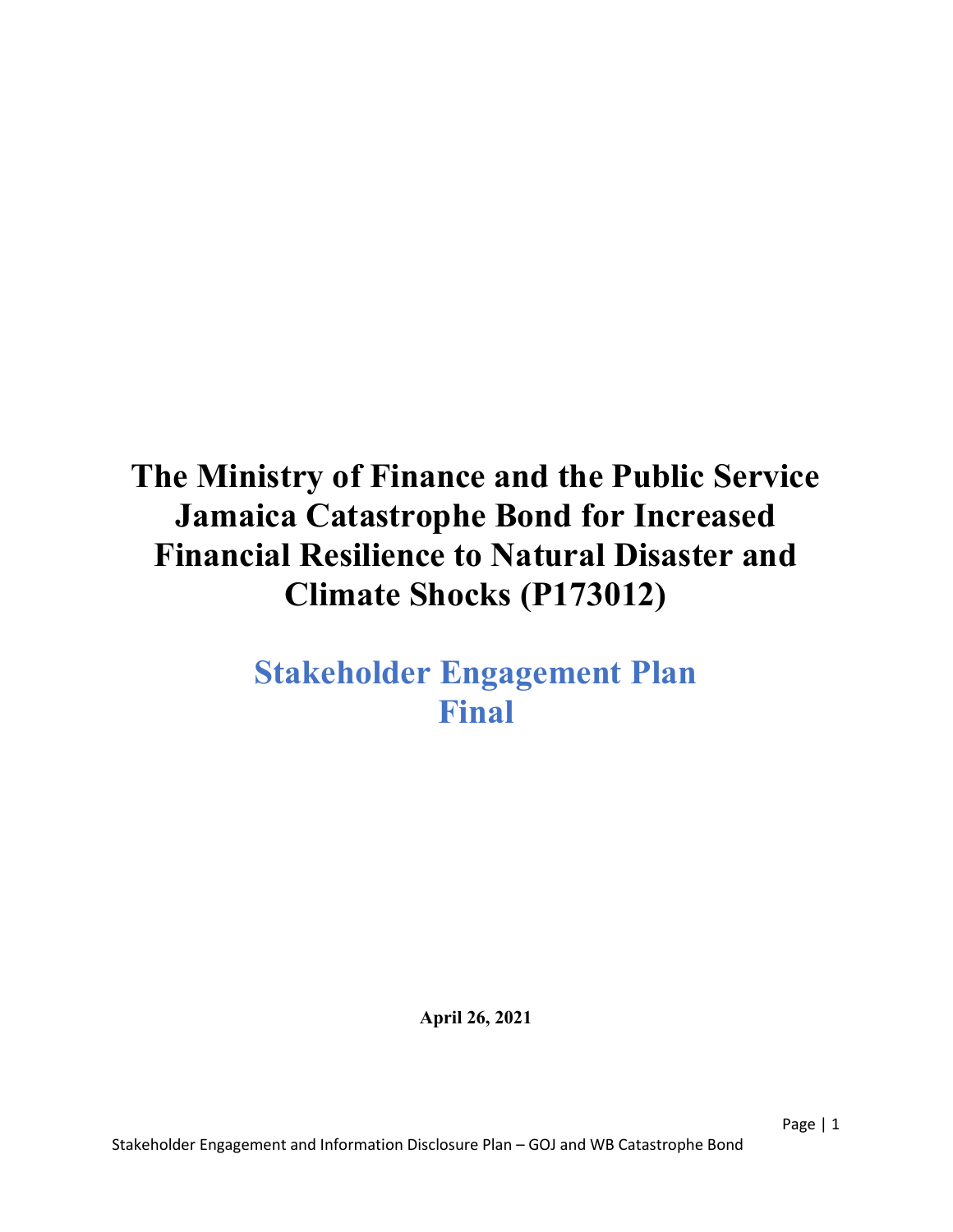# The Ministry of Finance and the Public Service Jamaica Catastrophe Bond for Increased Financial Resilience to Natural Disaster and Climate Shocks (P173012)

## Stakeholder Engagement Plan Final

April 26, 2021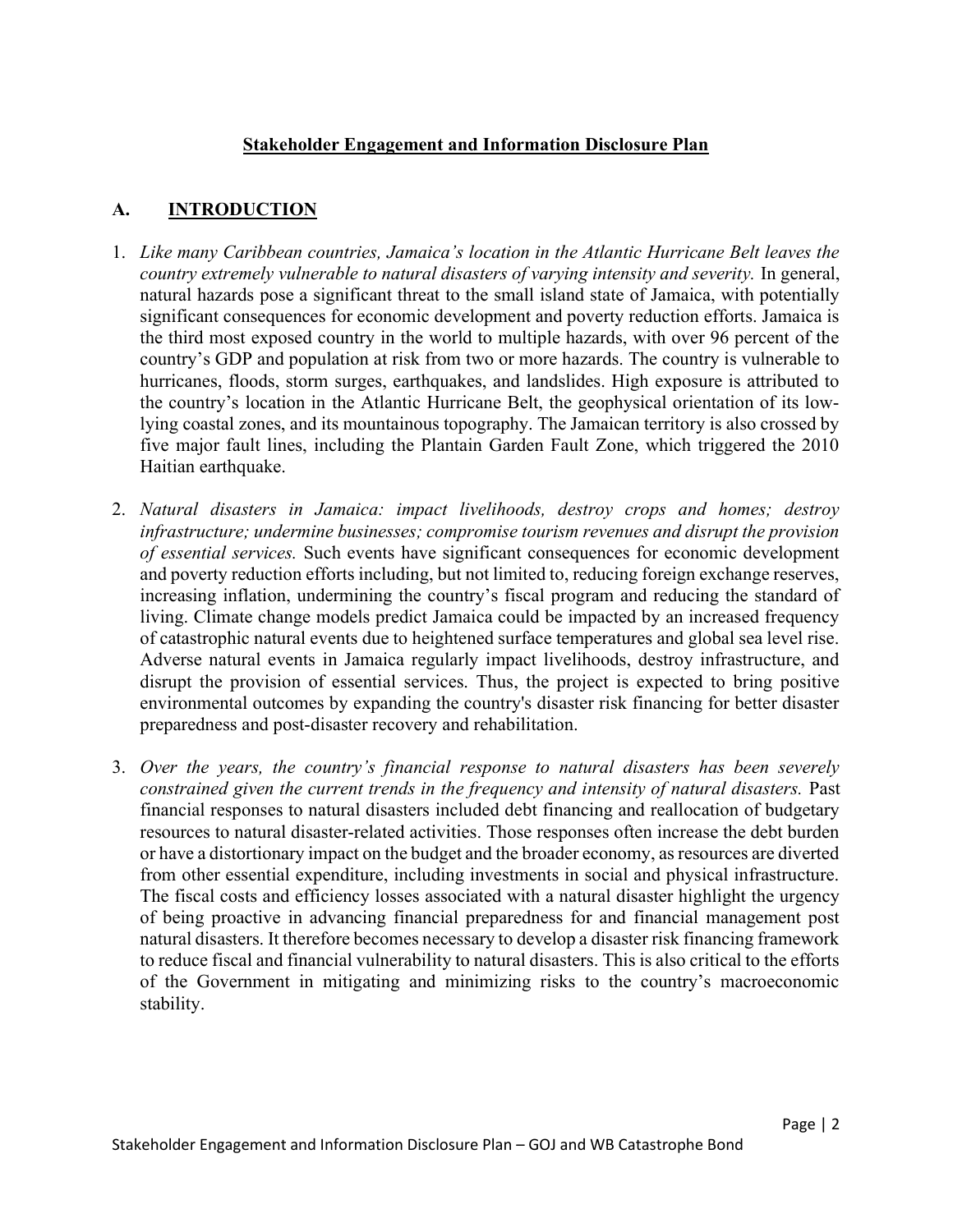#### Stakeholder Engagement and Information Disclosure Plan

## A. INTRODUCTION

- 1. Like many Caribbean countries, Jamaica's location in the Atlantic Hurricane Belt leaves the country extremely vulnerable to natural disasters of varying intensity and severity. In general, natural hazards pose a significant threat to the small island state of Jamaica, with potentially significant consequences for economic development and poverty reduction efforts. Jamaica is the third most exposed country in the world to multiple hazards, with over 96 percent of the country's GDP and population at risk from two or more hazards. The country is vulnerable to hurricanes, floods, storm surges, earthquakes, and landslides. High exposure is attributed to the country's location in the Atlantic Hurricane Belt, the geophysical orientation of its lowlying coastal zones, and its mountainous topography. The Jamaican territory is also crossed by five major fault lines, including the Plantain Garden Fault Zone, which triggered the 2010 Haitian earthquake.
- 2. Natural disasters in Jamaica: impact livelihoods, destroy crops and homes; destroy infrastructure; undermine businesses; compromise tourism revenues and disrupt the provision of essential services. Such events have significant consequences for economic development and poverty reduction efforts including, but not limited to, reducing foreign exchange reserves, increasing inflation, undermining the country's fiscal program and reducing the standard of living. Climate change models predict Jamaica could be impacted by an increased frequency of catastrophic natural events due to heightened surface temperatures and global sea level rise. Adverse natural events in Jamaica regularly impact livelihoods, destroy infrastructure, and disrupt the provision of essential services. Thus, the project is expected to bring positive environmental outcomes by expanding the country's disaster risk financing for better disaster preparedness and post-disaster recovery and rehabilitation.
- 3. Over the years, the country's financial response to natural disasters has been severely constrained given the current trends in the frequency and intensity of natural disasters. Past financial responses to natural disasters included debt financing and reallocation of budgetary resources to natural disaster-related activities. Those responses often increase the debt burden or have a distortionary impact on the budget and the broader economy, as resources are diverted from other essential expenditure, including investments in social and physical infrastructure. The fiscal costs and efficiency losses associated with a natural disaster highlight the urgency of being proactive in advancing financial preparedness for and financial management post natural disasters. It therefore becomes necessary to develop a disaster risk financing framework to reduce fiscal and financial vulnerability to natural disasters. This is also critical to the efforts of the Government in mitigating and minimizing risks to the country's macroeconomic stability.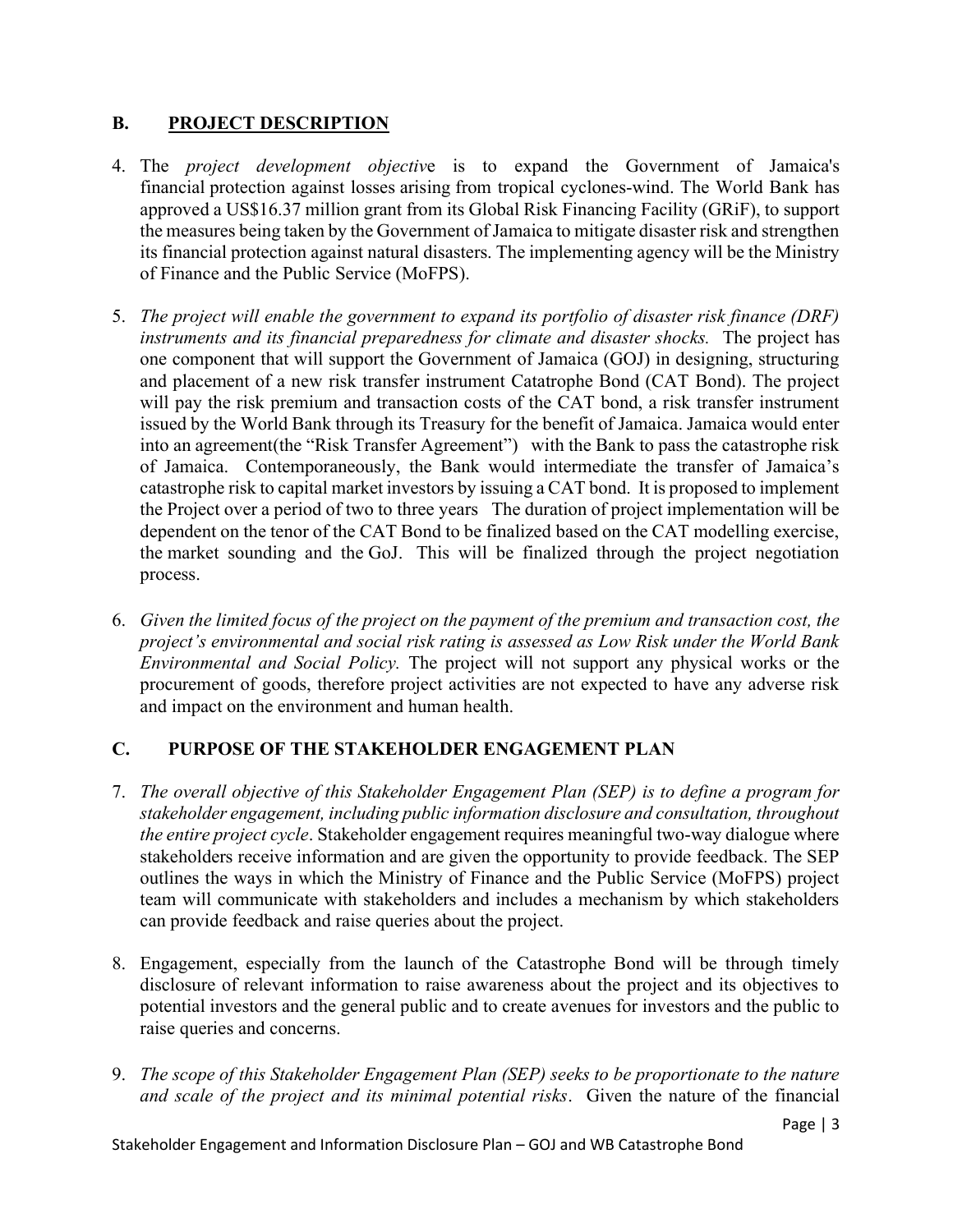### B. PROJECT DESCRIPTION

- 4. The project development objective is to expand the Government of Jamaica's financial protection against losses arising from tropical cyclones-wind. The World Bank has approved a US\$16.37 million grant from its Global Risk Financing Facility (GRiF), to support the measures being taken by the Government of Jamaica to mitigate disaster risk and strengthen its financial protection against natural disasters. The implementing agency will be the Ministry of Finance and the Public Service (MoFPS).
- 5. The project will enable the government to expand its portfolio of disaster risk finance (DRF) instruments and its financial preparedness for climate and disaster shocks. The project has one component that will support the Government of Jamaica (GOJ) in designing, structuring and placement of a new risk transfer instrument Catatrophe Bond (CAT Bond). The project will pay the risk premium and transaction costs of the CAT bond, a risk transfer instrument issued by the World Bank through its Treasury for the benefit of Jamaica. Jamaica would enter into an agreement(the "Risk Transfer Agreement") with the Bank to pass the catastrophe risk of Jamaica. Contemporaneously, the Bank would intermediate the transfer of Jamaica's catastrophe risk to capital market investors by issuing a CAT bond. It is proposed to implement the Project over a period of two to three years The duration of project implementation will be dependent on the tenor of the CAT Bond to be finalized based on the CAT modelling exercise, the market sounding and the GoJ. This will be finalized through the project negotiation process.
- 6. Given the limited focus of the project on the payment of the premium and transaction cost, the project's environmental and social risk rating is assessed as Low Risk under the World Bank Environmental and Social Policy. The project will not support any physical works or the procurement of goods, therefore project activities are not expected to have any adverse risk and impact on the environment and human health.

## C. PURPOSE OF THE STAKEHOLDER ENGAGEMENT PLAN

- 7. The overall objective of this Stakeholder Engagement Plan (SEP) is to define a program for stakeholder engagement, including public information disclosure and consultation, throughout the entire project cycle. Stakeholder engagement requires meaningful two-way dialogue where stakeholders receive information and are given the opportunity to provide feedback. The SEP outlines the ways in which the Ministry of Finance and the Public Service (MoFPS) project team will communicate with stakeholders and includes a mechanism by which stakeholders can provide feedback and raise queries about the project.
- 8. Engagement, especially from the launch of the Catastrophe Bond will be through timely disclosure of relevant information to raise awareness about the project and its objectives to potential investors and the general public and to create avenues for investors and the public to raise queries and concerns.
- 9. The scope of this Stakeholder Engagement Plan (SEP) seeks to be proportionate to the nature and scale of the project and its minimal potential risks. Given the nature of the financial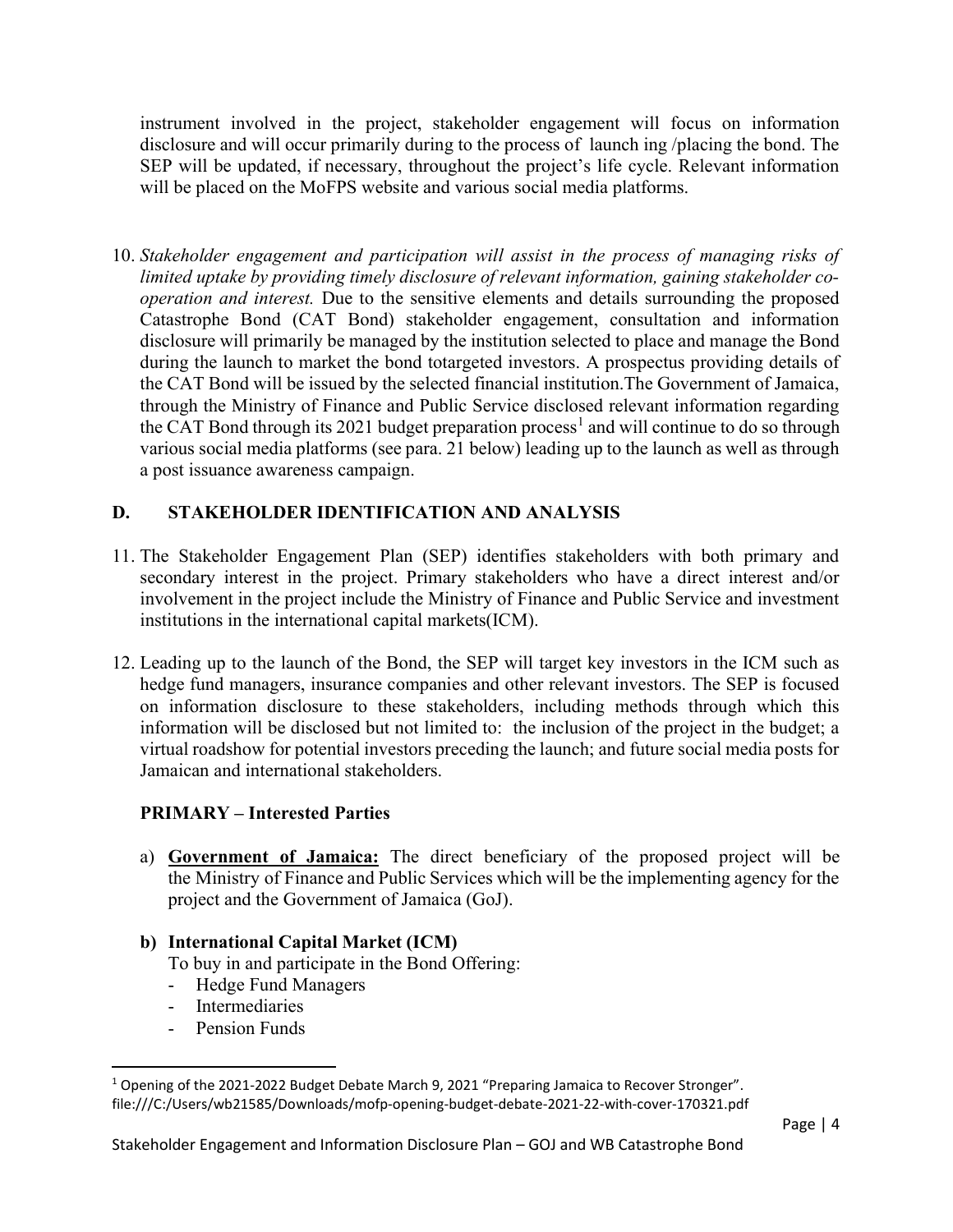instrument involved in the project, stakeholder engagement will focus on information disclosure and will occur primarily during to the process of launch ing /placing the bond. The SEP will be updated, if necessary, throughout the project's life cycle. Relevant information will be placed on the MoFPS website and various social media platforms.

10. Stakeholder engagement and participation will assist in the process of managing risks of limited uptake by providing timely disclosure of relevant information, gaining stakeholder cooperation and interest. Due to the sensitive elements and details surrounding the proposed Catastrophe Bond (CAT Bond) stakeholder engagement, consultation and information disclosure will primarily be managed by the institution selected to place and manage the Bond during the launch to market the bond totargeted investors. A prospectus providing details of the CAT Bond will be issued by the selected financial institution.The Government of Jamaica, through the Ministry of Finance and Public Service disclosed relevant information regarding the CAT Bond through its 2021 budget preparation process<sup>1</sup> and will continue to do so through various social media platforms (see para. 21 below) leading up to the launch as well as through a post issuance awareness campaign.

## D. STAKEHOLDER IDENTIFICATION AND ANALYSIS

- 11. The Stakeholder Engagement Plan (SEP) identifies stakeholders with both primary and secondary interest in the project. Primary stakeholders who have a direct interest and/or involvement in the project include the Ministry of Finance and Public Service and investment institutions in the international capital markets(ICM).
- 12. Leading up to the launch of the Bond, the SEP will target key investors in the ICM such as hedge fund managers, insurance companies and other relevant investors. The SEP is focused on information disclosure to these stakeholders, including methods through which this information will be disclosed but not limited to: the inclusion of the project in the budget; a virtual roadshow for potential investors preceding the launch; and future social media posts for Jamaican and international stakeholders.

## PRIMARY – Interested Parties

a) Government of Jamaica: The direct beneficiary of the proposed project will be the Ministry of Finance and Public Services which will be the implementing agency for the project and the Government of Jamaica (GoJ).

#### b) International Capital Market (ICM)

To buy in and participate in the Bond Offering:

- Hedge Fund Managers
- Intermediaries
- Pension Funds

<sup>&</sup>lt;sup>1</sup> Opening of the 2021-2022 Budget Debate March 9, 2021 "Preparing Jamaica to Recover Stronger". file:///C:/Users/wb21585/Downloads/mofp-opening-budget-debate-2021-22-with-cover-170321.pdf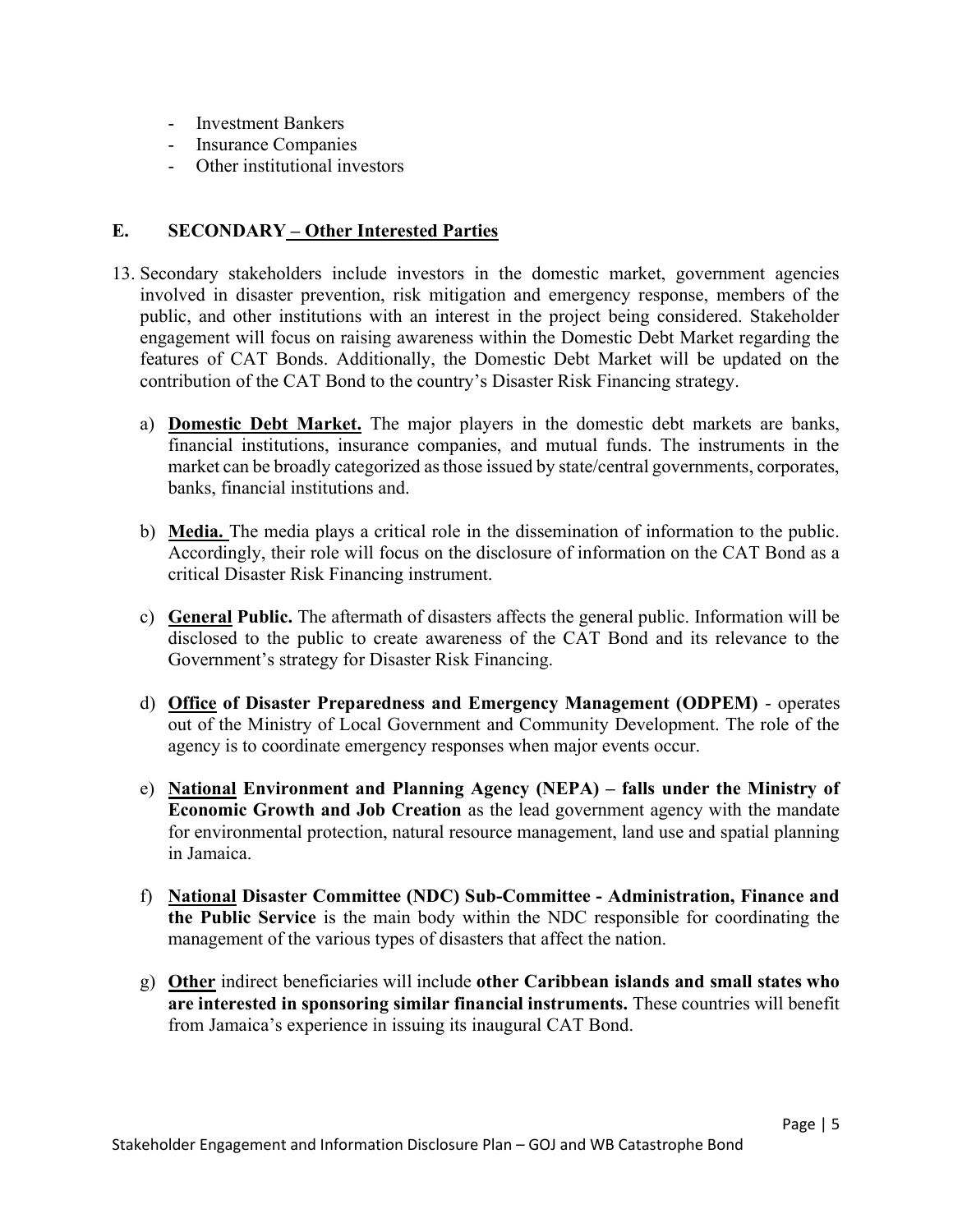- Investment Bankers
- Insurance Companies
- Other institutional investors

#### E. SECONDARY – Other Interested Parties

- 13. Secondary stakeholders include investors in the domestic market, government agencies involved in disaster prevention, risk mitigation and emergency response, members of the public, and other institutions with an interest in the project being considered. Stakeholder engagement will focus on raising awareness within the Domestic Debt Market regarding the features of CAT Bonds. Additionally, the Domestic Debt Market will be updated on the contribution of the CAT Bond to the country's Disaster Risk Financing strategy.
	- a) Domestic Debt Market. The major players in the domestic debt markets are banks, financial institutions, insurance companies, and mutual funds. The instruments in the market can be broadly categorized as those issued by state/central governments, corporates, banks, financial institutions and.
	- b) Media. The media plays a critical role in the dissemination of information to the public. Accordingly, their role will focus on the disclosure of information on the CAT Bond as a critical Disaster Risk Financing instrument.
	- c) General Public. The aftermath of disasters affects the general public. Information will be disclosed to the public to create awareness of the CAT Bond and its relevance to the Government's strategy for Disaster Risk Financing.
	- d) Office of Disaster Preparedness and Emergency Management (ODPEM) operates out of the Ministry of Local Government and Community Development. The role of the agency is to coordinate emergency responses when major events occur.
	- e) National Environment and Planning Agency (NEPA) falls under the Ministry of Economic Growth and Job Creation as the lead government agency with the mandate for environmental protection, natural resource management, land use and spatial planning in Jamaica.
	- f) National Disaster Committee (NDC) Sub-Committee Administration, Finance and the Public Service is the main body within the NDC responsible for coordinating the management of the various types of disasters that affect the nation.
	- g) Other indirect beneficiaries will include other Caribbean islands and small states who are interested in sponsoring similar financial instruments. These countries will benefit from Jamaica's experience in issuing its inaugural CAT Bond.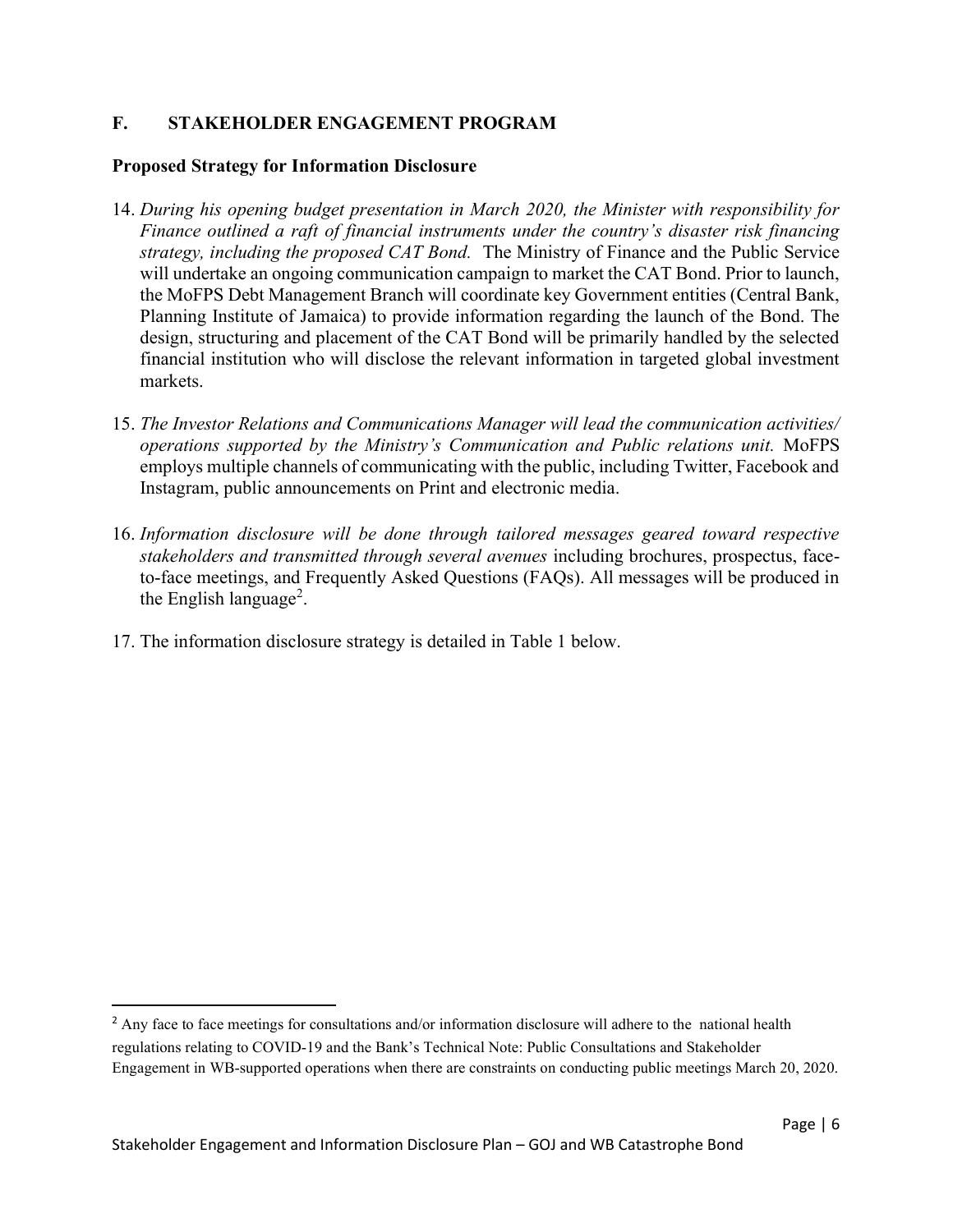#### F. STAKEHOLDER ENGAGEMENT PROGRAM

#### Proposed Strategy for Information Disclosure

- 14. During his opening budget presentation in March 2020, the Minister with responsibility for Finance outlined a raft of financial instruments under the country's disaster risk financing strategy, including the proposed CAT Bond. The Ministry of Finance and the Public Service will undertake an ongoing communication campaign to market the CAT Bond. Prior to launch, the MoFPS Debt Management Branch will coordinate key Government entities (Central Bank, Planning Institute of Jamaica) to provide information regarding the launch of the Bond. The design, structuring and placement of the CAT Bond will be primarily handled by the selected financial institution who will disclose the relevant information in targeted global investment markets.
- 15. The Investor Relations and Communications Manager will lead the communication activities/ operations supported by the Ministry's Communication and Public relations unit. MoFPS employs multiple channels of communicating with the public, including Twitter, Facebook and Instagram, public announcements on Print and electronic media.
- 16. Information disclosure will be done through tailored messages geared toward respective stakeholders and transmitted through several avenues including brochures, prospectus, faceto-face meetings, and Frequently Asked Questions (FAQs). All messages will be produced in the English language<sup>2</sup>.
- 17. The information disclosure strategy is detailed in Table 1 below.

<sup>&</sup>lt;sup>2</sup> Any face to face meetings for consultations and/or information disclosure will adhere to the national health regulations relating to COVID-19 and the Bank's Technical Note: Public Consultations and Stakeholder Engagement in WB-supported operations when there are constraints on conducting public meetings March 20, 2020.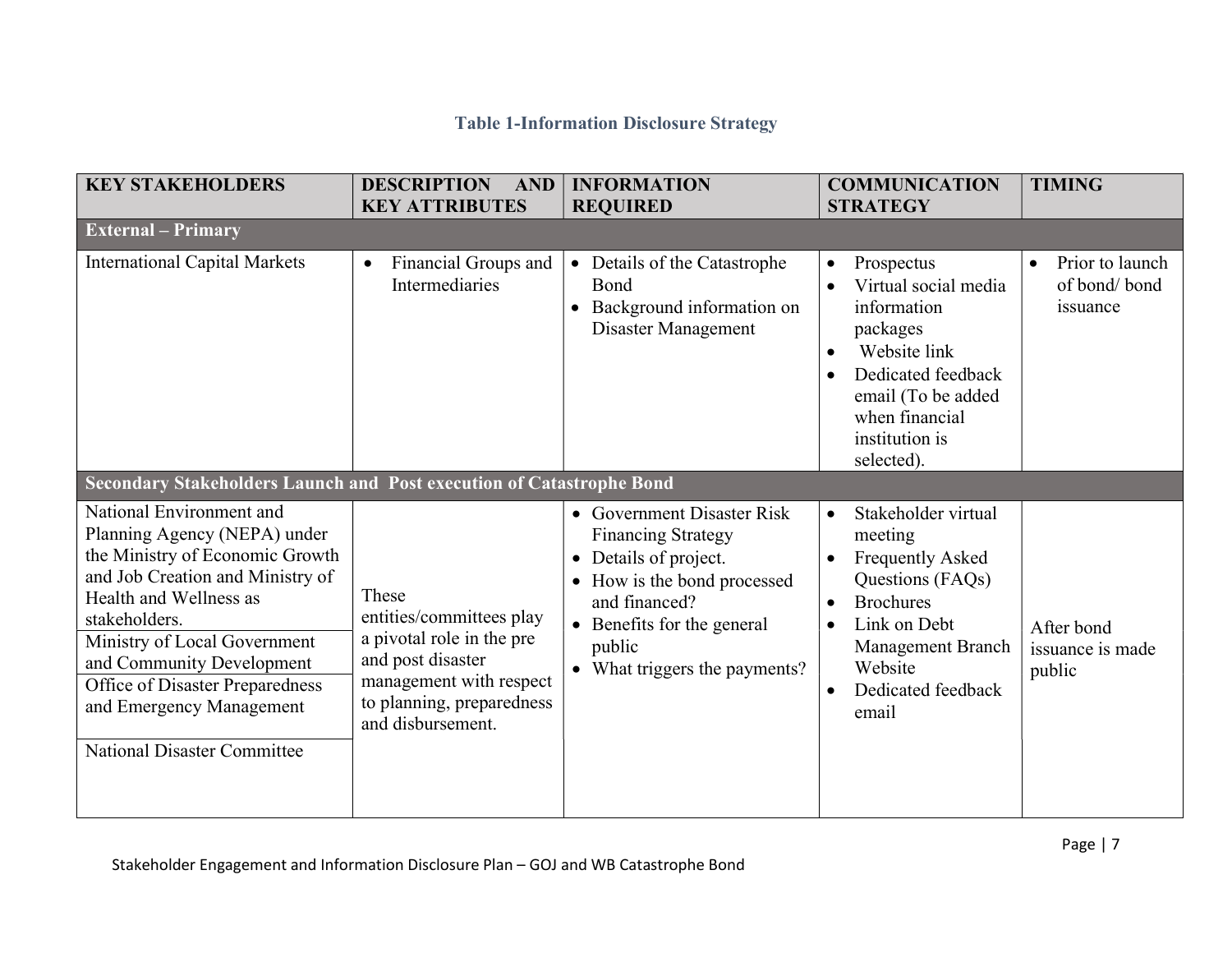## Table 1-Information Disclosure Strategy

| <b>KEY STAKEHOLDERS</b>                                                                                                                                                                                                                                                                                                                      | <b>DESCRIPTION</b><br><b>AND</b><br><b>KEY ATTRIBUTES</b>                                                                                                        | <b>INFORMATION</b><br><b>REQUIRED</b>                                                                                                                                                                   | <b>COMMUNICATION</b><br><b>STRATEGY</b>                                                                                                                                                              | <b>TIMING</b>                               |  |
|----------------------------------------------------------------------------------------------------------------------------------------------------------------------------------------------------------------------------------------------------------------------------------------------------------------------------------------------|------------------------------------------------------------------------------------------------------------------------------------------------------------------|---------------------------------------------------------------------------------------------------------------------------------------------------------------------------------------------------------|------------------------------------------------------------------------------------------------------------------------------------------------------------------------------------------------------|---------------------------------------------|--|
| <b>External – Primary</b>                                                                                                                                                                                                                                                                                                                    |                                                                                                                                                                  |                                                                                                                                                                                                         |                                                                                                                                                                                                      |                                             |  |
| <b>International Capital Markets</b>                                                                                                                                                                                                                                                                                                         | Financial Groups and<br>Intermediaries                                                                                                                           | • Details of the Catastrophe<br>Bond<br>Background information on<br>Disaster Management                                                                                                                | Prospectus<br>$\bullet$<br>Virtual social media<br>information<br>packages<br>Website link<br>Dedicated feedback<br>email (To be added<br>when financial<br>institution is<br>selected).             | Prior to launch<br>of bond/bond<br>issuance |  |
| Secondary Stakeholders Launch and Post execution of Catastrophe Bond                                                                                                                                                                                                                                                                         |                                                                                                                                                                  |                                                                                                                                                                                                         |                                                                                                                                                                                                      |                                             |  |
| National Environment and<br>Planning Agency (NEPA) under<br>the Ministry of Economic Growth<br>and Job Creation and Ministry of<br>Health and Wellness as<br>stakeholders.<br>Ministry of Local Government<br>and Community Development<br>Office of Disaster Preparedness<br>and Emergency Management<br><b>National Disaster Committee</b> | These<br>entities/committees play<br>a pivotal role in the pre<br>and post disaster<br>management with respect<br>to planning, preparedness<br>and disbursement. | • Government Disaster Risk<br><b>Financing Strategy</b><br>• Details of project.<br>How is the bond processed<br>and financed?<br>• Benefits for the general<br>public<br>• What triggers the payments? | Stakeholder virtual<br>$\bullet$<br>meeting<br><b>Frequently Asked</b><br>Questions (FAQs)<br><b>Brochures</b><br>Link on Debt<br><b>Management Branch</b><br>Website<br>Dedicated feedback<br>email | After bond<br>issuance is made<br>public    |  |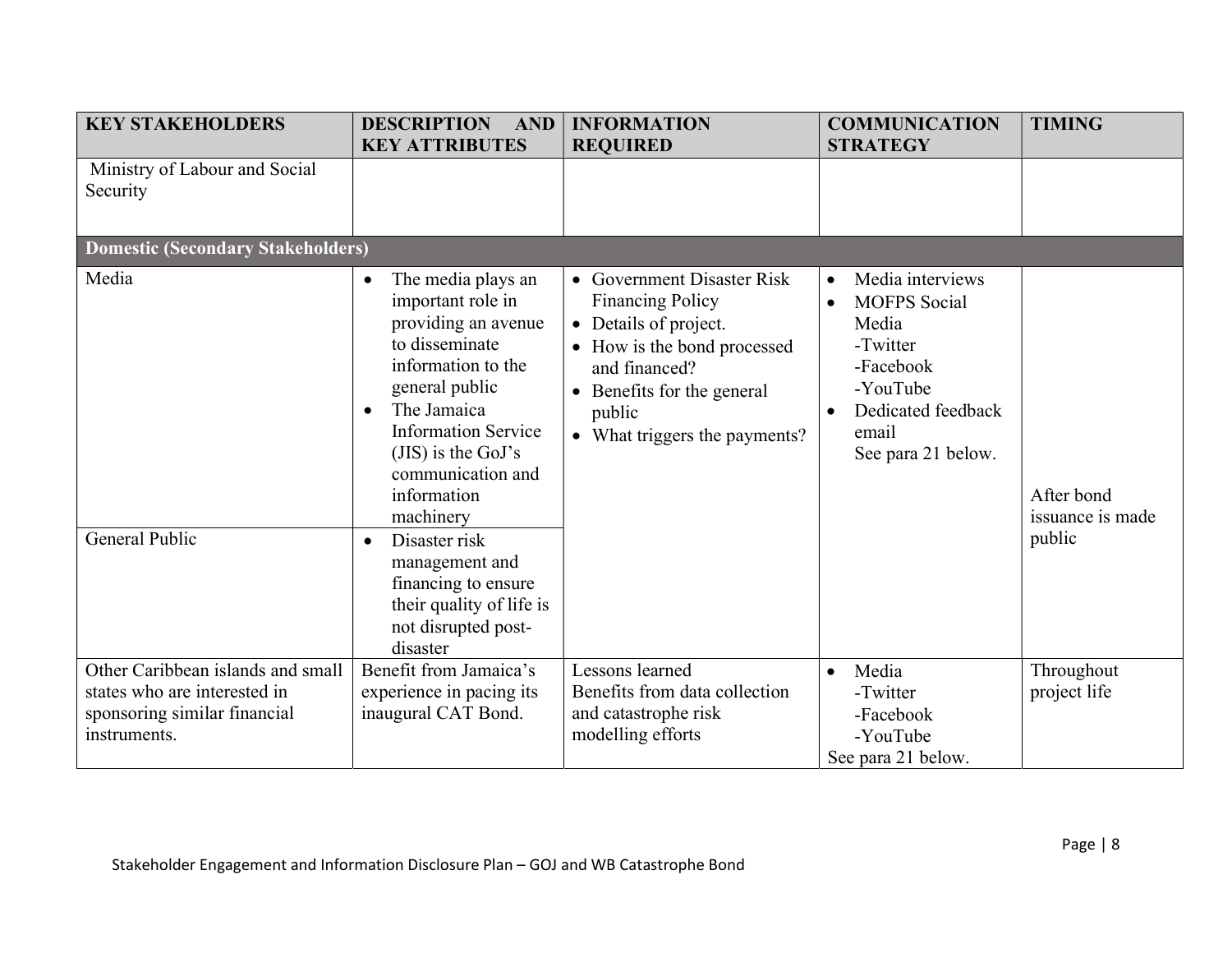| <b>KEY STAKEHOLDERS</b>                                                                                           | <b>DESCRIPTION</b><br><b>AND</b><br><b>KEY ATTRIBUTES</b>                                                                                                                                                                                                                                                                                         | <b>INFORMATION</b><br><b>REQUIRED</b>                                                                                                                                                                 | <b>COMMUNICATION</b><br><b>STRATEGY</b>                                                                                                                              | <b>TIMING</b>                            |  |  |  |
|-------------------------------------------------------------------------------------------------------------------|---------------------------------------------------------------------------------------------------------------------------------------------------------------------------------------------------------------------------------------------------------------------------------------------------------------------------------------------------|-------------------------------------------------------------------------------------------------------------------------------------------------------------------------------------------------------|----------------------------------------------------------------------------------------------------------------------------------------------------------------------|------------------------------------------|--|--|--|
| Ministry of Labour and Social<br>Security                                                                         |                                                                                                                                                                                                                                                                                                                                                   |                                                                                                                                                                                                       |                                                                                                                                                                      |                                          |  |  |  |
| <b>Domestic (Secondary Stakeholders)</b>                                                                          |                                                                                                                                                                                                                                                                                                                                                   |                                                                                                                                                                                                       |                                                                                                                                                                      |                                          |  |  |  |
| Media<br>General Public                                                                                           | The media plays an<br>$\bullet$<br>important role in<br>providing an avenue<br>to disseminate<br>information to the<br>general public<br>The Jamaica<br>$\bullet$<br><b>Information Service</b><br>( $JIS$ ) is the GoJ's<br>communication and<br>information<br>machinery<br>Disaster risk<br>$\bullet$<br>management and<br>financing to ensure | • Government Disaster Risk<br><b>Financing Policy</b><br>• Details of project.<br>• How is the bond processed<br>and financed?<br>• Benefits for the general<br>public<br>What triggers the payments? | Media interviews<br>$\bullet$<br><b>MOFPS</b> Social<br>$\bullet$<br>Media<br>-Twitter<br>-Facebook<br>-YouTube<br>Dedicated feedback<br>email<br>See para 21 below. | After bond<br>issuance is made<br>public |  |  |  |
|                                                                                                                   | their quality of life is<br>not disrupted post-<br>disaster                                                                                                                                                                                                                                                                                       |                                                                                                                                                                                                       |                                                                                                                                                                      |                                          |  |  |  |
| Other Caribbean islands and small<br>states who are interested in<br>sponsoring similar financial<br>instruments. | Benefit from Jamaica's<br>experience in pacing its<br>inaugural CAT Bond.                                                                                                                                                                                                                                                                         | Lessons learned<br>Benefits from data collection<br>and catastrophe risk<br>modelling efforts                                                                                                         | Media<br>$\bullet$<br>-Twitter<br>-Facebook<br>-YouTube<br>See para 21 below.                                                                                        | Throughout<br>project life               |  |  |  |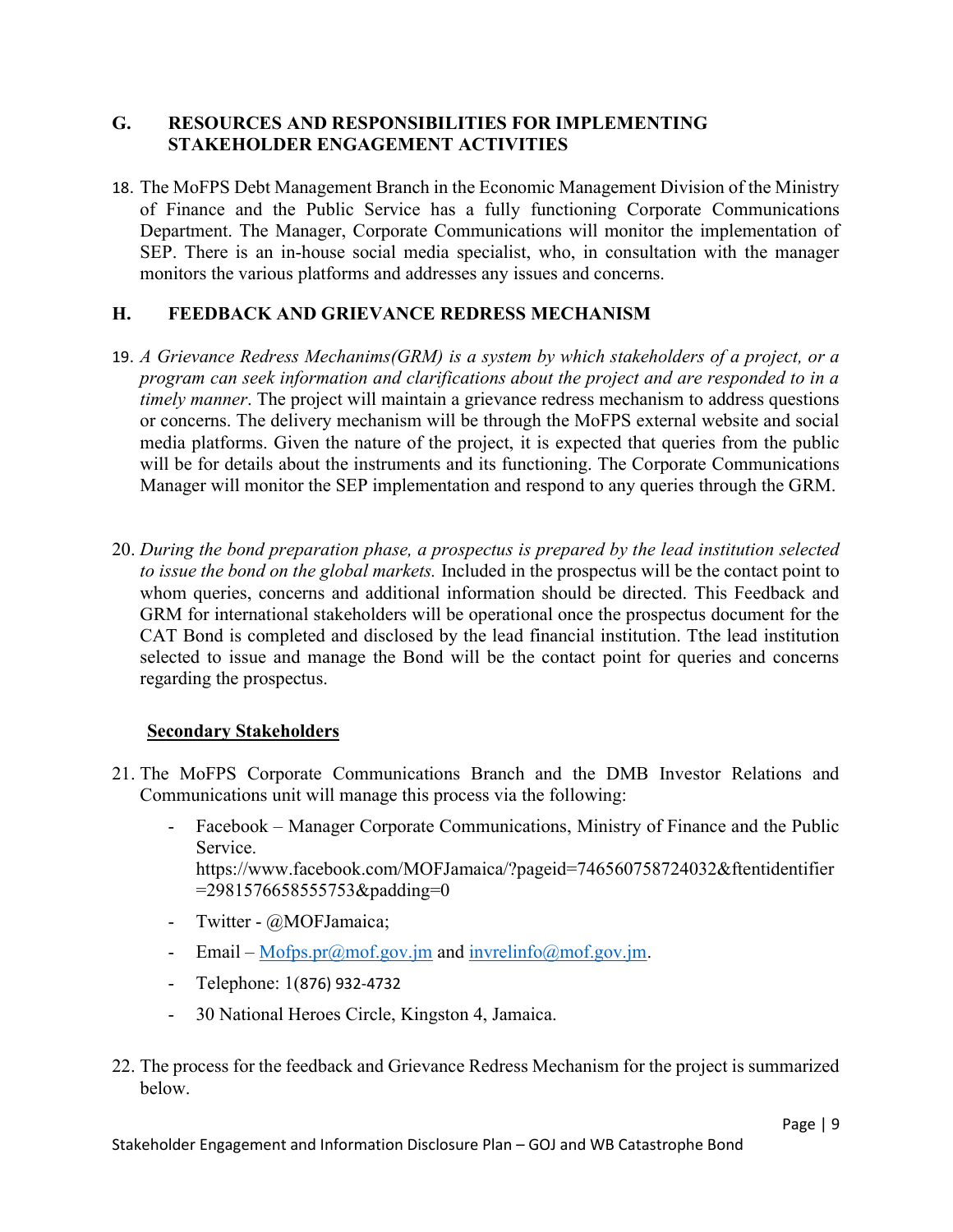#### G. RESOURCES AND RESPONSIBILITIES FOR IMPLEMENTING STAKEHOLDER ENGAGEMENT ACTIVITIES

18. The MoFPS Debt Management Branch in the Economic Management Division of the Ministry of Finance and the Public Service has a fully functioning Corporate Communications Department. The Manager, Corporate Communications will monitor the implementation of SEP. There is an in-house social media specialist, who, in consultation with the manager monitors the various platforms and addresses any issues and concerns.

#### H. FEEDBACK AND GRIEVANCE REDRESS MECHANISM

- 19. A Grievance Redress Mechanims(GRM) is a system by which stakeholders of a project, or a program can seek information and clarifications about the project and are responded to in a timely manner. The project will maintain a grievance redress mechanism to address questions or concerns. The delivery mechanism will be through the MoFPS external website and social media platforms. Given the nature of the project, it is expected that queries from the public will be for details about the instruments and its functioning. The Corporate Communications Manager will monitor the SEP implementation and respond to any queries through the GRM.
- 20. During the bond preparation phase, a prospectus is prepared by the lead institution selected to issue the bond on the global markets. Included in the prospectus will be the contact point to whom queries, concerns and additional information should be directed. This Feedback and GRM for international stakeholders will be operational once the prospectus document for the CAT Bond is completed and disclosed by the lead financial institution. Tthe lead institution selected to issue and manage the Bond will be the contact point for queries and concerns regarding the prospectus.

#### **Secondary Stakeholders**

- 21. The MoFPS Corporate Communications Branch and the DMB Investor Relations and Communications unit will manage this process via the following:
	- Facebook Manager Corporate Communications, Ministry of Finance and the Public Service. https://www.facebook.com/MOFJamaica/?pageid=746560758724032&ftentidentifier  $=$ 2981576658555753&padding=0
	- Twitter @MOFJamaica;
	- Email Mofps.pr $(\partial \text{mof.gov}.jm$  and invrelinfo $(\partial \text{mof.gov}.jm)$ .
	- Telephone: 1(876) 932-4732
	- 30 National Heroes Circle, Kingston 4, Jamaica.
- 22. The process for the feedback and Grievance Redress Mechanism for the project is summarized below.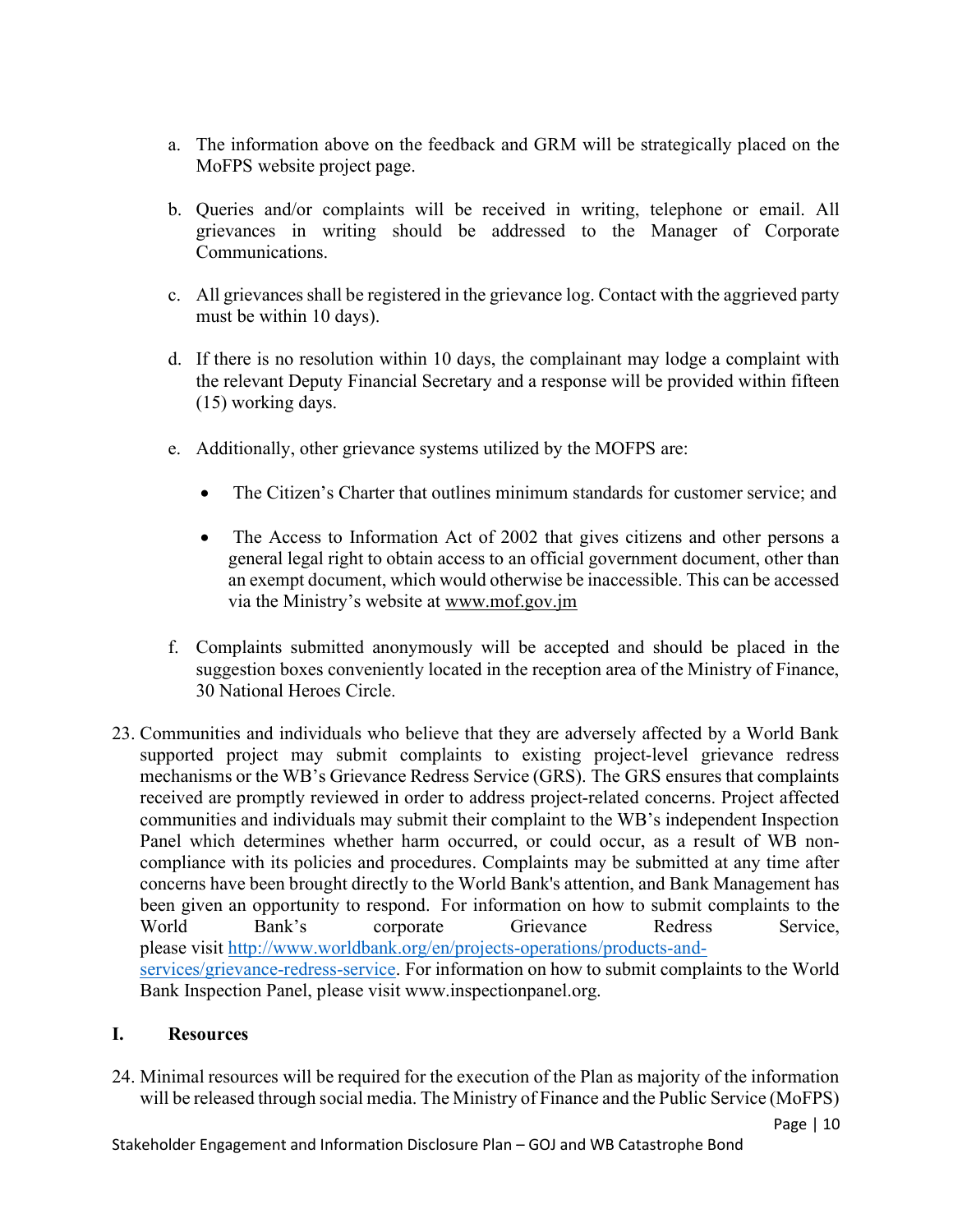- a. The information above on the feedback and GRM will be strategically placed on the MoFPS website project page.
- b. Queries and/or complaints will be received in writing, telephone or email. All grievances in writing should be addressed to the Manager of Corporate Communications.
- c. All grievances shall be registered in the grievance log. Contact with the aggrieved party must be within 10 days).
- d. If there is no resolution within 10 days, the complainant may lodge a complaint with the relevant Deputy Financial Secretary and a response will be provided within fifteen (15) working days.
- e. Additionally, other grievance systems utilized by the MOFPS are:
	- The Citizen's Charter that outlines minimum standards for customer service; and
	- The Access to Information Act of 2002 that gives citizens and other persons a general legal right to obtain access to an official government document, other than an exempt document, which would otherwise be inaccessible. This can be accessed via the Ministry's website at www.mof.gov.jm
- f. Complaints submitted anonymously will be accepted and should be placed in the suggestion boxes conveniently located in the reception area of the Ministry of Finance, 30 National Heroes Circle.
- 23. Communities and individuals who believe that they are adversely affected by a World Bank supported project may submit complaints to existing project-level grievance redress mechanisms or the WB's Grievance Redress Service (GRS). The GRS ensures that complaints received are promptly reviewed in order to address project-related concerns. Project affected communities and individuals may submit their complaint to the WB's independent Inspection Panel which determines whether harm occurred, or could occur, as a result of WB noncompliance with its policies and procedures. Complaints may be submitted at any time after concerns have been brought directly to the World Bank's attention, and Bank Management has been given an opportunity to respond. For information on how to submit complaints to the World Bank's corporate Grievance Redress Service, please visit http://www.worldbank.org/en/projects-operations/products-andservices/grievance-redress-service. For information on how to submit complaints to the World Bank Inspection Panel, please visit www.inspectionpanel.org.

#### I. Resources

24. Minimal resources will be required for the execution of the Plan as majority of the information will be released through social media. The Ministry of Finance and the Public Service (MoFPS)